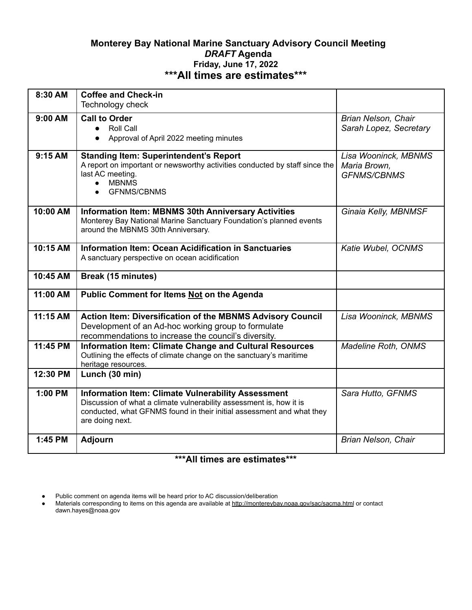## **Monterey Bay National Marine Sanctuary Advisory Council Meeting** *DRAFT* **Agenda Friday, June 17, 2022 \*\*\*All times are estimates\*\*\***

| 8:30 AM   | <b>Coffee and Check-in</b><br>Technology check                                                                                                                                                                               |                                                            |
|-----------|------------------------------------------------------------------------------------------------------------------------------------------------------------------------------------------------------------------------------|------------------------------------------------------------|
| 9:00 AM   | <b>Call to Order</b><br><b>Roll Call</b><br>$\bullet$<br>Approval of April 2022 meeting minutes<br>$\bullet$                                                                                                                 | Brian Nelson, Chair<br>Sarah Lopez, Secretary              |
| $9:15$ AM | <b>Standing Item: Superintendent's Report</b><br>A report on important or newsworthy activities conducted by staff since the<br>last AC meeting.<br><b>MBNMS</b><br>$\bullet$<br><b>GFNMS/CBNMS</b><br>$\bullet$             | Lisa Wooninck, MBNMS<br>Maria Brown,<br><b>GFNMS/CBNMS</b> |
| 10:00 AM  | <b>Information Item: MBNMS 30th Anniversary Activities</b><br>Monterey Bay National Marine Sanctuary Foundation's planned events<br>around the MBNMS 30th Anniversary.                                                       | Ginaia Kelly, MBNMSF                                       |
| 10:15 AM  | <b>Information Item: Ocean Acidification in Sanctuaries</b><br>A sanctuary perspective on ocean acidification                                                                                                                | Katie Wubel, OCNMS                                         |
| 10:45 AM  | Break (15 minutes)                                                                                                                                                                                                           |                                                            |
| 11:00 AM  | Public Comment for Items Not on the Agenda                                                                                                                                                                                   |                                                            |
| 11:15 AM  | Action Item: Diversification of the MBNMS Advisory Council<br>Development of an Ad-hoc working group to formulate<br>recommendations to increase the council's diversity.                                                    | Lisa Wooninck, MBNMS                                       |
| 11:45 PM  | <b>Information Item: Climate Change and Cultural Resources</b><br>Outlining the effects of climate change on the sanctuary's maritime<br>heritage resources.                                                                 | Madeline Roth, ONMS                                        |
| 12:30 PM  | Lunch (30 min)                                                                                                                                                                                                               |                                                            |
| 1:00 PM   | <b>Information Item: Climate Vulnerability Assessment</b><br>Discussion of what a climate vulnerability assessment is, how it is<br>conducted, what GFNMS found in their initial assessment and what they<br>are doing next. | Sara Hutto, GFNMS                                          |
| 1:45 PM   | <b>Adjourn</b>                                                                                                                                                                                                               | Brian Nelson, Chair                                        |

## **\*\*\*All times are estimates\*\*\***

<sup>●</sup> Public comment on agenda items will be heard prior to AC discussion/deliberation

<sup>•</sup> Materials corresponding to items on this agenda are available at<http://montereybay.noaa.gov/sac/sacma.html> or contact dawn.hayes@noaa.gov